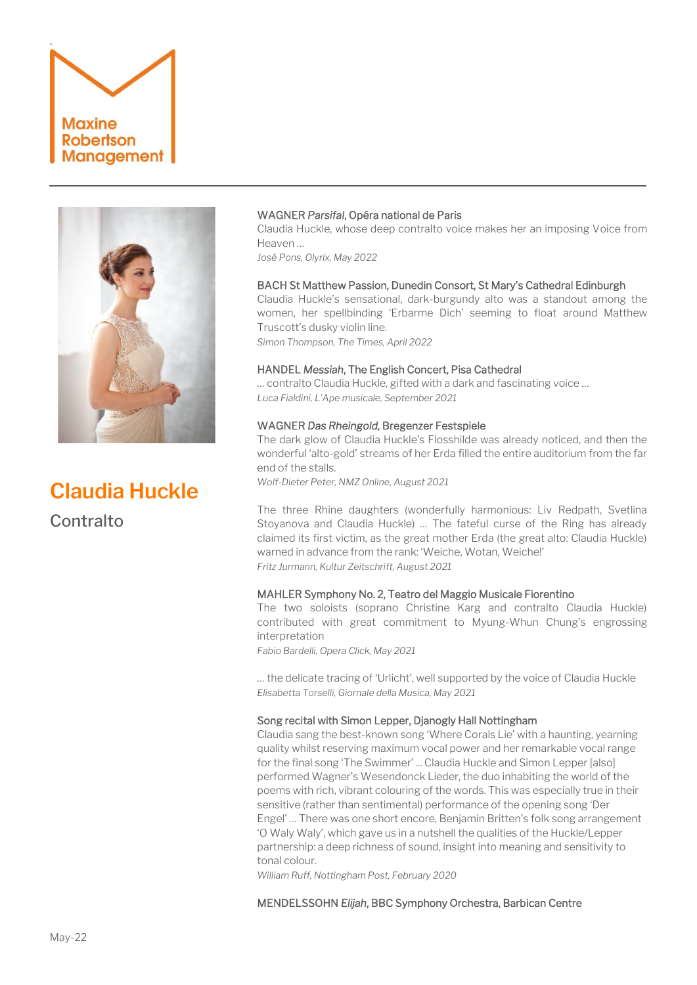# ` **Maxine Robertson Management**



**Claudia Huckle Contralto** 

# WAGNER *Parsifal*, Opéra national de Paris

Claudia Huckle, whose deep contralto voice makes her an imposing Voice from Heaven …

*José Pons, Olyrix, May 2022*

# BACH St Matthew Passion, Dunedin Consort, St Mary's Cathedral Edinburgh

Claudia Huckle's sensational, dark-burgundy alto was a standout among the women, her spellbinding 'Erbarme Dich' seeming to float around Matthew Truscott's dusky violin line. *Simon Thompson, The Times, April 2022*

HANDEL *Messiah*, The English Concert, Pisa Cathedral

… contralto Claudia Huckle, gifted with a dark and fascinating voice … *Luca Fialdini, L'Ape musicale, September 2021*

## WAGNER *Das Rheingold,* Bregenzer Festspiele

The dark glow of Claudia Huckle's Flosshilde was already noticed, and then the wonderful 'alto-gold' streams of her Erda filled the entire auditorium from the far end of the stalls.

*Wolf-Dieter Peter, NMZ Online, August 2021*

The three Rhine daughters (wonderfully harmonious: Liv Redpath, Svetlina Stoyanova and Claudia Huckle) … The fateful curse of the Ring has already claimed its first victim, as the great mother Erda (the great alto: Claudia Huckle) warned in advance from the rank: 'Weiche, Wotan, Weiche!' *Fritz Jurmann, Kultur Zeitschrift, August 2021*

## MAHLER Symphony No. 2, Teatro del Maggio Musicale Fiorentino

The two soloists (soprano Christine Karg and contralto Claudia Huckle) contributed with great commitment to Myung-Whun Chung's engrossing interpretation

*Fabio Bardelli, Opera Click, May 2021*

… the delicate tracing of 'Urlicht', well supported by the voice of Claudia Huckle *Elisabetta Torselli, Giornale della Musica, May 2021*

#### Song recital with Simon Lepper, Djanogly Hall Nottingham

Claudia sang the best-known song 'Where Corals Lie' with a haunting, yearning quality whilst reserving maximum vocal power and her remarkable vocal range for the final song 'The Swimmer' ... Claudia Huckle and Simon Lepper [also] performed Wagner's Wesendonck Lieder, the duo inhabiting the world of the poems with rich, vibrant colouring of the words. This was especially true in their sensitive (rather than sentimental) performance of the opening song 'Der Engel' … There was one short encore, Benjamin Britten's folk song arrangement 'O Waly Waly', which gave us in a nutshell the qualities of the Huckle/Lepper partnership: a deep richness of sound, insight into meaning and sensitivity to tonal colour.

*William Ruff, Nottingham Post, February 2020*

MENDELSSOHN *Elijah*, BBC Symphony Orchestra, Barbican Centre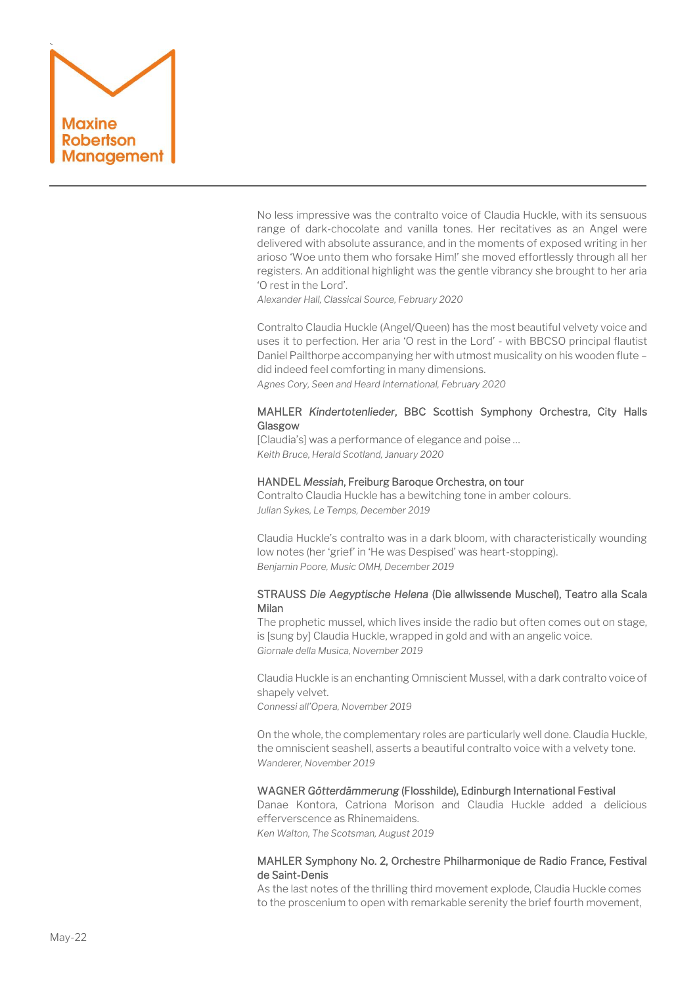

No less impressive was the contralto voice of Claudia Huckle, with its sensuous range of dark-chocolate and vanilla tones. Her recitatives as an Angel were delivered with absolute assurance, and in the moments of exposed writing in her arioso 'Woe unto them who forsake Him!' she moved effortlessly through all her registers. An additional highlight was the gentle vibrancy she brought to her aria 'O rest in the Lord'.

*Alexander Hall, Classical Source, February 2020*

Contralto Claudia Huckle (Angel/Queen) has the most beautiful velvety voice and uses it to perfection. Her aria 'O rest in the Lord' - with BBCSO principal flautist Daniel Pailthorpe accompanying her with utmost musicality on his wooden flute – did indeed feel comforting in many dimensions. *Agnes Cory, Seen and Heard International, February 2020*

# MAHLER *Kindertotenlieder*, BBC Scottish Symphony Orchestra, City Halls Glasgow

[Claudia's] was a performance of elegance and poise … *Keith Bruce, Herald Scotland, January 2020*

## HANDEL *Messiah*, Freiburg Baroque Orchestra, on tour

Contralto Claudia Huckle has a bewitching tone in amber colours. *Julian Sykes, Le Temps, December 2019*

Claudia Huckle's contralto was in a dark bloom, with characteristically wounding low notes (her 'grief' in 'He was Despised' was heart-stopping). *Benjamin Poore, Music OMH, December 2019*

# STRAUSS *Die Aegyptische Helena* (Die allwissende Muschel), Teatro alla Scala Milan

The prophetic mussel, which lives inside the radio but often comes out on stage, is [sung by] Claudia Huckle, wrapped in gold and with an angelic voice. *Giornale della Musica, November 2019*

Claudia Huckle is an enchanting Omniscient Mussel, with a dark contralto voice of shapely velvet.

*Connessi all'Opera, November 2019*

On the whole, the complementary roles are particularly well done. Claudia Huckle, the omniscient seashell, asserts a beautiful contralto voice with a velvety tone. *Wanderer, November 2019*

#### WAGNER *Götterdämmerung* (Flosshilde), Edinburgh International Festival

Danae Kontora, Catriona Morison and Claudia Huckle added a delicious efferverscence as Rhinemaidens. *Ken Walton, The Scotsman, August 2019*

# MAHLER Symphony No. 2,Orchestre Philharmonique de Radio France, Festival de Saint-Denis

As the last notes of the thrilling third movement explode, Claudia Huckle comes to the proscenium to open with remarkable serenity the brief fourth movement,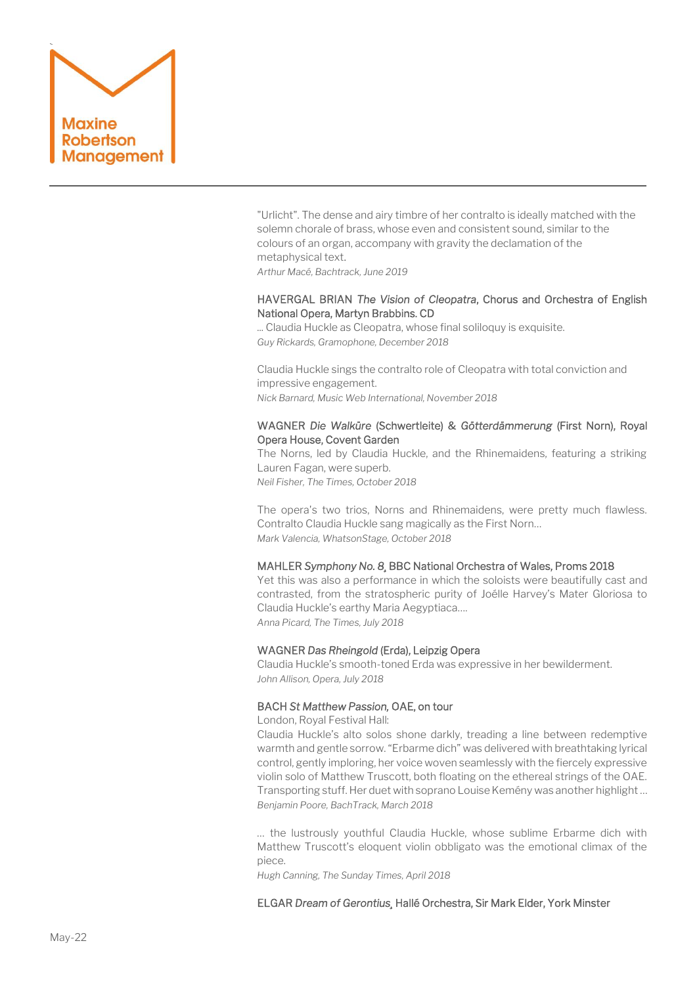

"Urlicht". The dense and airy timbre of her contralto is ideally matched with the solemn chorale of brass, whose even and consistent sound, similar to the colours of an organ, accompany with gravity the declamation of the metaphysical text.

*Arthur Macé, Bachtrack, June 2019*

# HAVERGAL BRIAN *The Vision of Cleopatra*, Chorus and Orchestra of English National Opera, Martyn Brabbins. CD

... Claudia Huckle as Cleopatra, whose final soliloquy is exquisite. *Guy Rickards, Gramophone, December 2018*

Claudia Huckle sings the contralto role of Cleopatra with total conviction and impressive engagement. *Nick Barnard, Music Web International, November 2018* 

# WAGNER *Die Walküre* (Schwertleite) & *Götterdämmerung* (First Norn), Royal Opera House, Covent Garden

The Norns, led by Claudia Huckle, and the Rhinemaidens, featuring a striking Lauren Fagan, were superb.

*Neil Fisher, The Times, October 2018*

The opera's two trios, Norns and Rhinemaidens, were pretty much flawless. Contralto [Claudia Huckle](https://www.whatsonstage.com/search?term=Claudia%20Huckle) sang magically as the First Norn… *Mark Valencia, WhatsonStage, October 2018*

#### MAHLER *Symphony No. 8¸* BBC National Orchestra of Wales, Proms 2018

Yet this was also a performance in which the soloists were beautifully cast and contrasted, from the stratospheric purity of Joélle Harvey's Mater Gloriosa to Claudia Huckle's earthy Maria Aegyptiaca…. *Anna Picard, The Times, July 2018*

## WAGNER *Das Rheingold* (Erda), Leipzig Opera

Claudia Huckle's smooth-toned Erda was expressive in her bewilderment. *John Allison, Opera, July 2018*

## BACH *St Matthew Passion,* OAE, on tour

London, Royal Festival Hall:

[Claudia Huckle](https://bachtrack.com/performer/claudia-huckle)'s alto solos shone darkly, treading a line between redemptive warmth and gentle sorrow. "Erbarme dich" was delivered with breathtaking lyrical control, gently imploring, her voice woven seamlessly with the fiercely expressive violin solo of Matthew Truscott, both floating on the ethereal strings of the OAE. Transporting stuff. Her duet with soprano Louise Kemény was another highlight … *Benjamin Poore, BachTrack, March 2018*

… the lustrously youthful Claudia Huckle, whose sublime Erbarme dich with Matthew Truscott's eloquent violin obbligato was the emotional climax of the piece.

*Hugh Canning, The Sunday Times, April 2018*

## ELGAR *Dream of Gerontius¸* Hallé Orchestra, Sir Mark Elder, York Minster